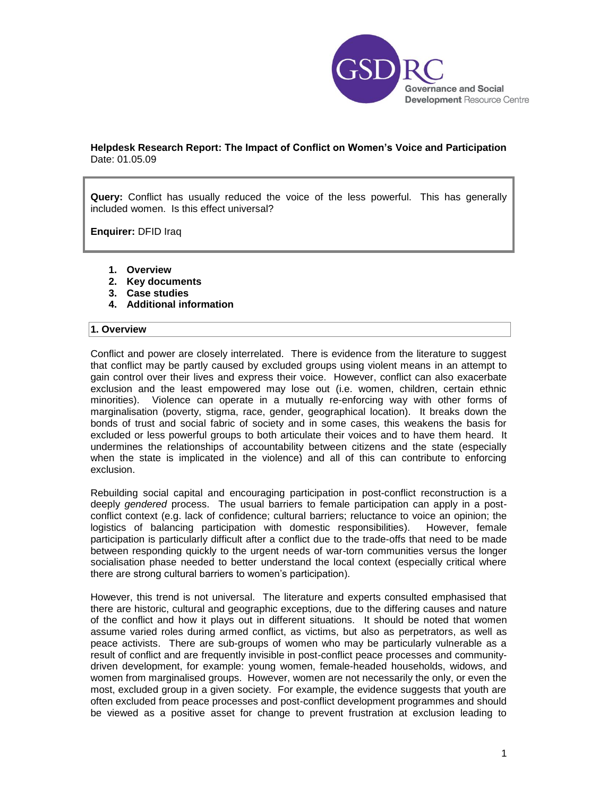

# **Helpdesk Research Report: The Impact of Conflict on Women's Voice and Participation**  Date: 01.05.09

**Query:** Conflict has usually reduced the voice of the less powerful. This has generally included women. Is this effect universal?

**Enquirer:** DFID Iraq

- **1. Overview**
- **2. Key documents**
- **3. Case studies**
- **4. Additional information**

#### **1. Overview**

Conflict and power are closely interrelated. There is evidence from the literature to suggest that conflict may be partly caused by excluded groups using violent means in an attempt to gain control over their lives and express their voice. However, conflict can also exacerbate exclusion and the least empowered may lose out (i.e. women, children, certain ethnic minorities). Violence can operate in a mutually re-enforcing way with other forms of marginalisation (poverty, stigma, race, gender, geographical location). It breaks down the bonds of trust and social fabric of society and in some cases, this weakens the basis for excluded or less powerful groups to both articulate their voices and to have them heard. It undermines the relationships of accountability between citizens and the state (especially when the state is implicated in the violence) and all of this can contribute to enforcing exclusion.

Rebuilding social capital and encouraging participation in post-conflict reconstruction is a deeply *gendered* process. The usual barriers to female participation can apply in a postconflict context (e.g. lack of confidence; cultural barriers; reluctance to voice an opinion; the logistics of balancing participation with domestic responsibilities). However, female participation is particularly difficult after a conflict due to the trade-offs that need to be made between responding quickly to the urgent needs of war-torn communities versus the longer socialisation phase needed to better understand the local context (especially critical where there are strong cultural barriers to women"s participation).

However, this trend is not universal. The literature and experts consulted emphasised that there are historic, cultural and geographic exceptions, due to the differing causes and nature of the conflict and how it plays out in different situations. It should be noted that women assume varied roles during armed conflict, as victims, but also as perpetrators, as well as peace activists. There are sub-groups of women who may be particularly vulnerable as a result of conflict and are frequently invisible in post-conflict peace processes and communitydriven development, for example: young women, female-headed households, widows, and women from marginalised groups. However, women are not necessarily the only, or even the most, excluded group in a given society. For example, the evidence suggests that youth are often excluded from peace processes and post-conflict development programmes and should be viewed as a positive asset for change to prevent frustration at exclusion leading to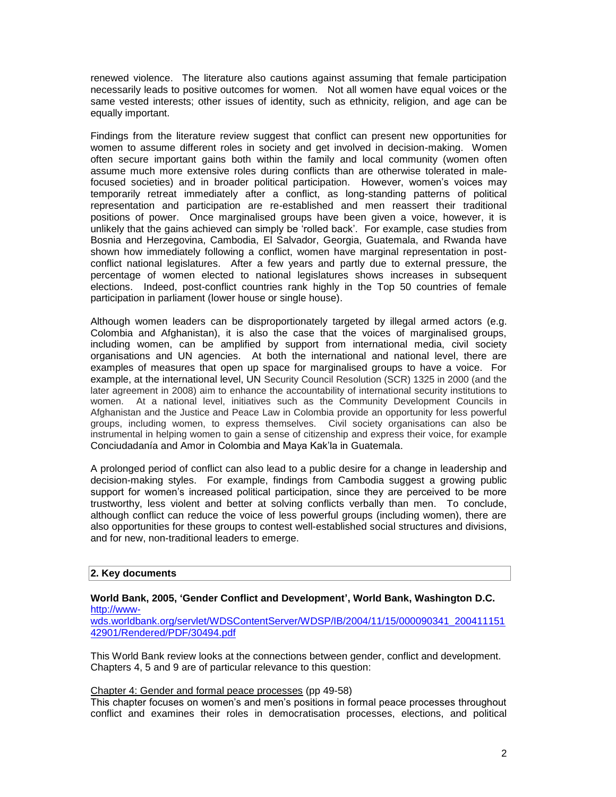renewed violence. The literature also cautions against assuming that female participation necessarily leads to positive outcomes for women. Not all women have equal voices or the same vested interests; other issues of identity, such as ethnicity, religion, and age can be equally important.

Findings from the literature review suggest that conflict can present new opportunities for women to assume different roles in society and get involved in decision-making. Women often secure important gains both within the family and local community (women often assume much more extensive roles during conflicts than are otherwise tolerated in malefocused societies) and in broader political participation. However, women's voices may temporarily retreat immediately after a conflict, as long-standing patterns of political representation and participation are re-established and men reassert their traditional positions of power. Once marginalised groups have been given a voice, however, it is unlikely that the gains achieved can simply be "rolled back". For example, case studies from Bosnia and Herzegovina, Cambodia, El Salvador, Georgia, Guatemala, and Rwanda have shown how immediately following a conflict, women have marginal representation in postconflict national legislatures. After a few years and partly due to external pressure, the percentage of women elected to national legislatures shows increases in subsequent elections. Indeed, post-conflict countries rank highly in the Top 50 countries of female participation in parliament (lower house or single house).

Although women leaders can be disproportionately targeted by illegal armed actors (e.g. Colombia and Afghanistan), it is also the case that the voices of marginalised groups, including women, can be amplified by support from international media, civil society organisations and UN agencies. At both the international and national level, there are examples of measures that open up space for marginalised groups to have a voice. For example, at the international level, UN Security Council Resolution (SCR) 1325 in 2000 (and the later agreement in 2008) aim to enhance the accountability of international security institutions to women. At a national level, initiatives such as the Community Development Councils in Afghanistan and the Justice and Peace Law in Colombia provide an opportunity for less powerful groups, including women, to express themselves. Civil society organisations can also be instrumental in helping women to gain a sense of citizenship and express their voice, for example Conciudadanía and Amor in Colombia and Maya Kak"la in Guatemala.

A prolonged period of conflict can also lead to a public desire for a change in leadership and decision-making styles. For example, findings from Cambodia suggest a growing public support for women's increased political participation, since they are perceived to be more trustworthy, less violent and better at solving conflicts verbally than men. To conclude, although conflict can reduce the voice of less powerful groups (including women), there are also opportunities for these groups to contest well-established social structures and divisions, and for new, non-traditional leaders to emerge.

## **2. Key documents**

### **World Bank, 2005, 'Gender Conflict and Development', World Bank, Washington D.C.**  [http://www-](http://www-wds.worldbank.org/servlet/WDSContentServer/WDSP/IB/2004/11/15/000090341_20041115142901/Rendered/PDF/30494.pdf)

[wds.worldbank.org/servlet/WDSContentServer/WDSP/IB/2004/11/15/000090341\\_200411151](http://www-wds.worldbank.org/servlet/WDSContentServer/WDSP/IB/2004/11/15/000090341_20041115142901/Rendered/PDF/30494.pdf) [42901/Rendered/PDF/30494.pdf](http://www-wds.worldbank.org/servlet/WDSContentServer/WDSP/IB/2004/11/15/000090341_20041115142901/Rendered/PDF/30494.pdf)

This World Bank review looks at the connections between gender, conflict and development. Chapters 4, 5 and 9 are of particular relevance to this question:

#### Chapter 4: Gender and formal peace processes (pp 49-58)

This chapter focuses on women"s and men"s positions in formal peace processes throughout conflict and examines their roles in democratisation processes, elections, and political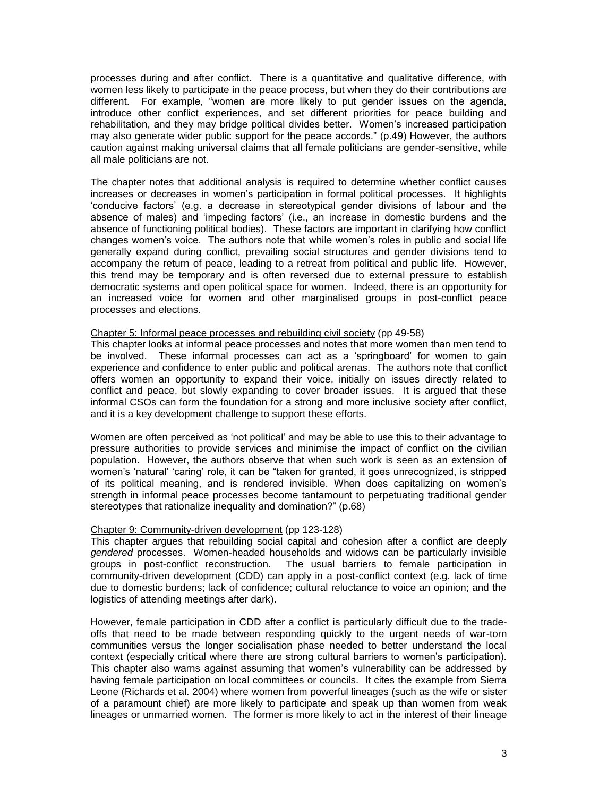processes during and after conflict. There is a quantitative and qualitative difference, with women less likely to participate in the peace process, but when they do their contributions are different. For example, "women are more likely to put gender issues on the agenda, introduce other conflict experiences, and set different priorities for peace building and rehabilitation, and they may bridge political divides better. Women"s increased participation may also generate wider public support for the peace accords." (p.49) However, the authors caution against making universal claims that all female politicians are gender-sensitive, while all male politicians are not.

The chapter notes that additional analysis is required to determine whether conflict causes increases or decreases in women"s participation in formal political processes. It highlights "conducive factors" (e.g. a decrease in stereotypical gender divisions of labour and the absence of males) and "impeding factors" (i.e., an increase in domestic burdens and the absence of functioning political bodies). These factors are important in clarifying how conflict changes women"s voice. The authors note that while women"s roles in public and social life generally expand during conflict, prevailing social structures and gender divisions tend to accompany the return of peace, leading to a retreat from political and public life. However, this trend may be temporary and is often reversed due to external pressure to establish democratic systems and open political space for women. Indeed, there is an opportunity for an increased voice for women and other marginalised groups in post-conflict peace processes and elections.

#### Chapter 5: Informal peace processes and rebuilding civil society (pp 49-58)

This chapter looks at informal peace processes and notes that more women than men tend to be involved. These informal processes can act as a "springboard" for women to gain experience and confidence to enter public and political arenas. The authors note that conflict offers women an opportunity to expand their voice, initially on issues directly related to conflict and peace, but slowly expanding to cover broader issues. It is argued that these informal CSOs can form the foundation for a strong and more inclusive society after conflict, and it is a key development challenge to support these efforts.

Women are often perceived as "not political" and may be able to use this to their advantage to pressure authorities to provide services and minimise the impact of conflict on the civilian population. However, the authors observe that when such work is seen as an extension of women's 'natural' 'caring' role, it can be "taken for granted, it goes unrecognized, is stripped of its political meaning, and is rendered invisible. When does capitalizing on women"s strength in informal peace processes become tantamount to perpetuating traditional gender stereotypes that rationalize inequality and domination?" (p.68)

#### Chapter 9: Community-driven development (pp 123-128)

This chapter argues that rebuilding social capital and cohesion after a conflict are deeply *gendered* processes. Women-headed households and widows can be particularly invisible groups in post-conflict reconstruction. The usual barriers to female participation in The usual barriers to female participation in community-driven development (CDD) can apply in a post-conflict context (e.g. lack of time due to domestic burdens; lack of confidence; cultural reluctance to voice an opinion; and the logistics of attending meetings after dark).

However, female participation in CDD after a conflict is particularly difficult due to the tradeoffs that need to be made between responding quickly to the urgent needs of war-torn communities versus the longer socialisation phase needed to better understand the local context (especially critical where there are strong cultural barriers to women"s participation). This chapter also warns against assuming that women"s vulnerability can be addressed by having female participation on local committees or councils. It cites the example from Sierra Leone (Richards et al. 2004) where women from powerful lineages (such as the wife or sister of a paramount chief) are more likely to participate and speak up than women from weak lineages or unmarried women. The former is more likely to act in the interest of their lineage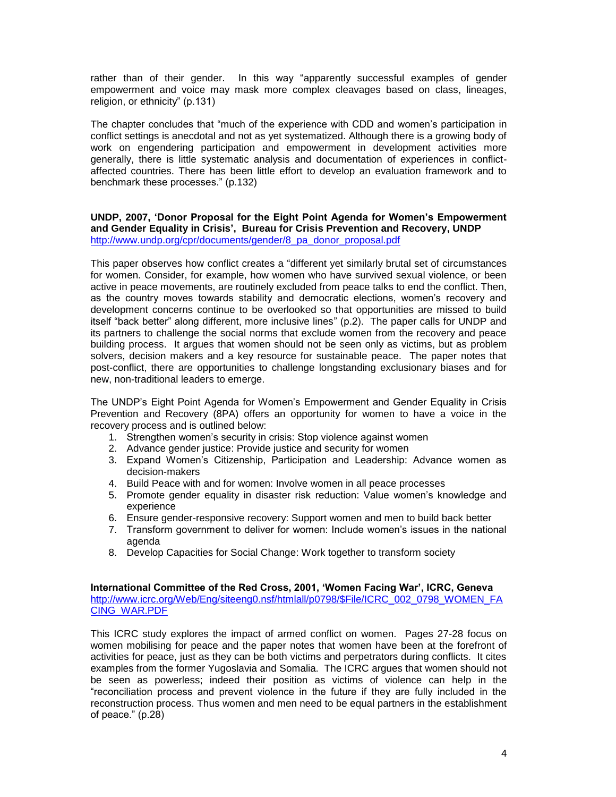rather than of their gender. In this way "apparently successful examples of gender empowerment and voice may mask more complex cleavages based on class, lineages, religion, or ethnicity" (p.131)

The chapter concludes that "much of the experience with CDD and women"s participation in conflict settings is anecdotal and not as yet systematized. Although there is a growing body of work on engendering participation and empowerment in development activities more generally, there is little systematic analysis and documentation of experiences in conflictaffected countries. There has been little effort to develop an evaluation framework and to benchmark these processes." (p.132)

## **UNDP, 2007, 'Donor Proposal for the Eight Point Agenda for Women's Empowerment and Gender Equality in Crisis', Bureau for Crisis Prevention and Recovery, UNDP** [http://www.undp.org/cpr/documents/gender/8\\_pa\\_donor\\_proposal.pdf](http://www.undp.org/cpr/documents/gender/8_pa_donor_proposal.pdf)

This paper observes how conflict creates a "different yet similarly brutal set of circumstances for women. Consider, for example, how women who have survived sexual violence, or been active in peace movements, are routinely excluded from peace talks to end the conflict. Then, as the country moves towards stability and democratic elections, women"s recovery and development concerns continue to be overlooked so that opportunities are missed to build itself "back better" along different, more inclusive lines" (p.2). The paper calls for UNDP and its partners to challenge the social norms that exclude women from the recovery and peace building process. It argues that women should not be seen only as victims, but as problem solvers, decision makers and a key resource for sustainable peace. The paper notes that post-conflict, there are opportunities to challenge longstanding exclusionary biases and for new, non-traditional leaders to emerge.

The UNDP"s Eight Point Agenda for Women"s Empowerment and Gender Equality in Crisis Prevention and Recovery (8PA) offers an opportunity for women to have a voice in the recovery process and is outlined below:

- 1. Strengthen women"s security in crisis: Stop violence against women
- 2. Advance gender justice: Provide justice and security for women
- 3. Expand Women"s Citizenship, Participation and Leadership: Advance women as decision-makers
- 4. Build Peace with and for women: Involve women in all peace processes
- 5. Promote gender equality in disaster risk reduction: Value women"s knowledge and experience
- 6. Ensure gender-responsive recovery: Support women and men to build back better
- 7. Transform government to deliver for women: Include women"s issues in the national agenda
- 8. Develop Capacities for Social Change: Work together to transform society

### **International Committee of the Red Cross, 2001, 'Women Facing War', ICRC, Geneva**  [http://www.icrc.org/Web/Eng/siteeng0.nsf/htmlall/p0798/\\$File/ICRC\\_002\\_0798\\_WOMEN\\_FA](http://www.icrc.org/Web/Eng/siteeng0.nsf/htmlall/p0798/$File/ICRC_002_0798_WOMEN_FACING_WAR.PDF) [CING\\_WAR.PDF](http://www.icrc.org/Web/Eng/siteeng0.nsf/htmlall/p0798/$File/ICRC_002_0798_WOMEN_FACING_WAR.PDF)

This ICRC study explores the impact of armed conflict on women. Pages 27-28 focus on women mobilising for peace and the paper notes that women have been at the forefront of activities for peace, just as they can be both victims and perpetrators during conflicts. It cites examples from the former Yugoslavia and Somalia. The ICRC argues that women should not be seen as powerless; indeed their position as victims of violence can help in the "reconciliation process and prevent violence in the future if they are fully included in the reconstruction process. Thus women and men need to be equal partners in the establishment of peace." (p.28)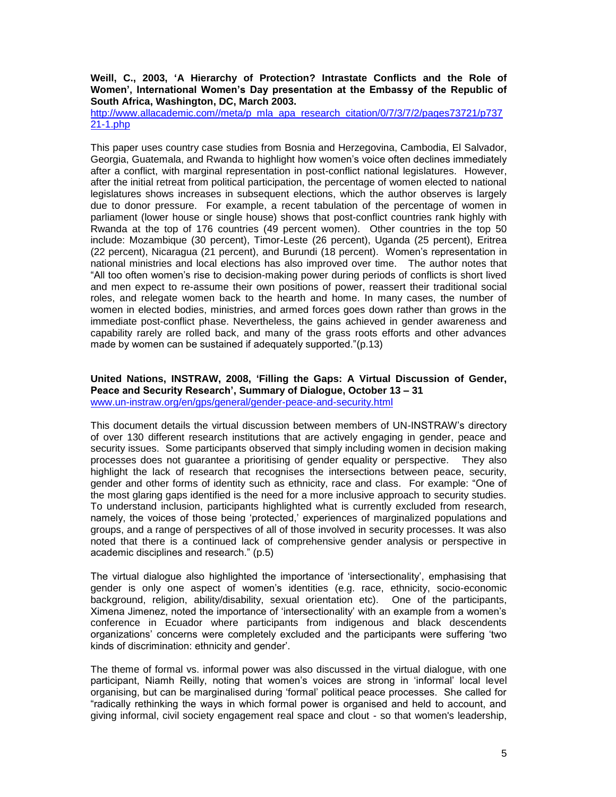## **Weill, C., 2003, 'A Hierarchy of Protection? Intrastate Conflicts and the Role of Women', International Women's Day presentation at the Embassy of the Republic of South Africa, Washington, DC, March 2003.**

[http://www.allacademic.com//meta/p\\_mla\\_apa\\_research\\_citation/0/7/3/7/2/pages73721/p737](http://www.allacademic.com/meta/p_mla_apa_research_citation/0/7/3/7/2/pages73721/p73721-1.php) [21-1.php](http://www.allacademic.com/meta/p_mla_apa_research_citation/0/7/3/7/2/pages73721/p73721-1.php)

This paper uses country case studies from Bosnia and Herzegovina, Cambodia, El Salvador, Georgia, Guatemala, and Rwanda to highlight how women"s voice often declines immediately after a conflict, with marginal representation in post-conflict national legislatures. However, after the initial retreat from political participation, the percentage of women elected to national legislatures shows increases in subsequent elections, which the author observes is largely due to donor pressure. For example, a recent tabulation of the percentage of women in parliament (lower house or single house) shows that post-conflict countries rank highly with Rwanda at the top of 176 countries (49 percent women). Other countries in the top 50 include: Mozambique (30 percent), Timor-Leste (26 percent), Uganda (25 percent), Eritrea (22 percent), Nicaragua (21 percent), and Burundi (18 percent). Women"s representation in national ministries and local elections has also improved over time. The author notes that "All too often women"s rise to decision-making power during periods of conflicts is short lived and men expect to re-assume their own positions of power, reassert their traditional social roles, and relegate women back to the hearth and home. In many cases, the number of women in elected bodies, ministries, and armed forces goes down rather than grows in the immediate post-conflict phase. Nevertheless, the gains achieved in gender awareness and capability rarely are rolled back, and many of the grass roots efforts and other advances made by women can be sustained if adequately supported."(p.13)

## **United Nations, INSTRAW, 2008, 'Filling the Gaps: A Virtual Discussion of Gender, Peace and Security Research', Summary of Dialogue, October 13 – 31** [www.un-instraw.org/en/gps/general/gender-peace-and-security.html](http://www.un-instraw.org/en/gps/general/gender-peace-and-security.html)

This document details the virtual discussion between members of UN-INSTRAW"s directory of over 130 different research institutions that are actively engaging in gender, peace and security issues. Some participants observed that simply including women in decision making processes does not guarantee a prioritising of gender equality or perspective. They also highlight the lack of research that recognises the intersections between peace, security, gender and other forms of identity such as ethnicity, race and class. For example: "One of the most glaring gaps identified is the need for a more inclusive approach to security studies. To understand inclusion, participants highlighted what is currently excluded from research, namely, the voices of those being "protected," experiences of marginalized populations and groups, and a range of perspectives of all of those involved in security processes. It was also noted that there is a continued lack of comprehensive gender analysis or perspective in academic disciplines and research." (p.5)

The virtual dialogue also highlighted the importance of "intersectionality", emphasising that gender is only one aspect of women"s identities (e.g. race, ethnicity, socio-economic background, religion, ability/disability, sexual orientation etc). One of the participants, Ximena Jimenez, noted the importance of "intersectionality" with an example from a women"s conference in Ecuador where participants from indigenous and black descendents organizations" concerns were completely excluded and the participants were suffering "two kinds of discrimination: ethnicity and gender".

The theme of formal vs. informal power was also discussed in the virtual dialogue, with one participant, Niamh Reilly, noting that women"s voices are strong in "informal" local level organising, but can be marginalised during "formal" political peace processes. She called for "radically rethinking the ways in which formal power is organised and held to account, and giving informal, civil society engagement real space and clout - so that women's leadership,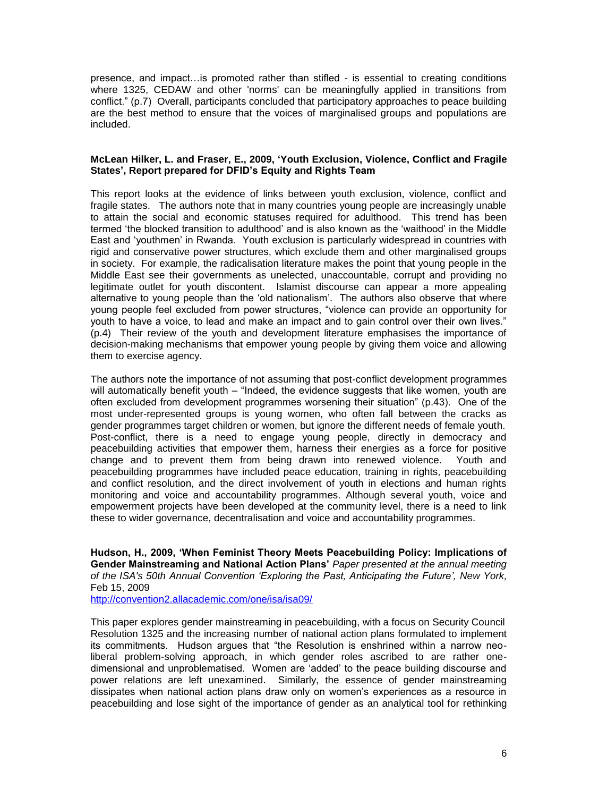presence, and impact…is promoted rather than stifled - is essential to creating conditions where 1325, CEDAW and other 'norms' can be meaningfully applied in transitions from conflict." (p.7) Overall, participants concluded that participatory approaches to peace building are the best method to ensure that the voices of marginalised groups and populations are included.

### **McLean Hilker, L. and Fraser, E., 2009, 'Youth Exclusion, Violence, Conflict and Fragile States', Report prepared for DFID's Equity and Rights Team**

This report looks at the evidence of links between youth exclusion, violence, conflict and fragile states. The authors note that in many countries young people are increasingly unable to attain the social and economic statuses required for adulthood. This trend has been termed "the blocked transition to adulthood" and is also known as the "waithood" in the Middle East and "youthmen" in Rwanda. Youth exclusion is particularly widespread in countries with rigid and conservative power structures, which exclude them and other marginalised groups in society. For example, the radicalisation literature makes the point that young people in the Middle East see their governments as unelected, unaccountable, corrupt and providing no legitimate outlet for youth discontent. Islamist discourse can appear a more appealing alternative to young people than the "old nationalism". The authors also observe that where young people feel excluded from power structures, "violence can provide an opportunity for youth to have a voice, to lead and make an impact and to gain control over their own lives." (p.4) Their review of the youth and development literature emphasises the importance of decision-making mechanisms that empower young people by giving them voice and allowing them to exercise agency.

The authors note the importance of not assuming that post-conflict development programmes will automatically benefit youth – "Indeed, the evidence suggests that like women, youth are often excluded from development programmes worsening their situation" (p.43). One of the most under-represented groups is young women, who often fall between the cracks as gender programmes target children or women, but ignore the different needs of female youth. Post-conflict, there is a need to engage young people, directly in democracy and peacebuilding activities that empower them, harness their energies as a force for positive change and to prevent them from being drawn into renewed violence. Youth and peacebuilding programmes have included peace education, training in rights, peacebuilding and conflict resolution, and the direct involvement of youth in elections and human rights monitoring and voice and accountability programmes. Although several youth, voice and empowerment projects have been developed at the community level, there is a need to link these to wider governance, decentralisation and voice and accountability programmes.

**Hudson, H., 2009, 'When Feminist Theory Meets Peacebuilding Policy: Implications of Gender Mainstreaming and National Action Plans'** *Paper presented at the annual meeting of the ISA's 50th Annual Convention 'Exploring the Past, Anticipating the Future', New York,*  Feb 15, 2009

<http://convention2.allacademic.com/one/isa/isa09/>

This paper explores gender mainstreaming in peacebuilding, with a focus on Security Council Resolution 1325 and the increasing number of national action plans formulated to implement its commitments. Hudson argues that "the Resolution is enshrined within a narrow neoliberal problem-solving approach, in which gender roles ascribed to are rather onedimensional and unproblematised. Women are "added" to the peace building discourse and power relations are left unexamined. Similarly, the essence of gender mainstreaming dissipates when national action plans draw only on women"s experiences as a resource in peacebuilding and lose sight of the importance of gender as an analytical tool for rethinking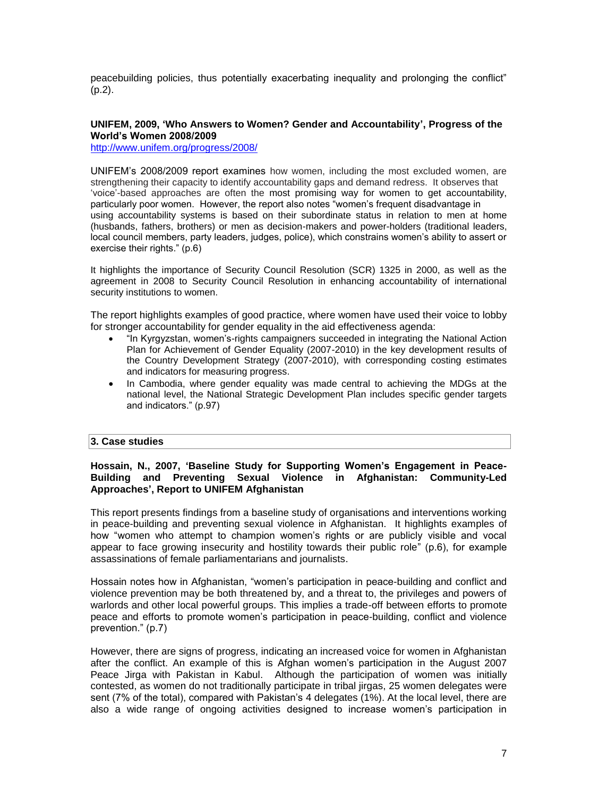peacebuilding policies, thus potentially exacerbating inequality and prolonging the conflict" (p.2).

## **UNIFEM, 2009, 'Who Answers to Women? Gender and Accountability', Progress of the World's Women 2008/2009**

<http://www.unifem.org/progress/2008/>

UNIFEM"s 2008/2009 report examines how women, including the most excluded women, are strengthening their capacity to identify accountability gaps and demand redress. It observes that "voice"-based approaches are often the most promising way for women to get accountability, particularly poor women. However, the report also notes "women"s frequent disadvantage in using accountability systems is based on their subordinate status in relation to men at home (husbands, fathers, brothers) or men as decision-makers and power-holders (traditional leaders, local council members, party leaders, judges, police), which constrains women's ability to assert or exercise their rights." (p.6)

It highlights the importance of Security Council Resolution (SCR) 1325 in 2000, as well as the agreement in 2008 to Security Council Resolution in enhancing accountability of international security institutions to women.

The report highlights examples of good practice, where women have used their voice to lobby for stronger accountability for gender equality in the aid effectiveness agenda:

- "In Kyrgyzstan, women"s-rights campaigners succeeded in integrating the National Action Plan for Achievement of Gender Equality (2007-2010) in the key development results of the Country Development Strategy (2007-2010), with corresponding costing estimates and indicators for measuring progress.
- In Cambodia, where gender equality was made central to achieving the MDGs at the national level, the National Strategic Development Plan includes specific gender targets and indicators." (p.97)

## **3. Case studies**

## **Hossain, N., 2007, 'Baseline Study for Supporting Women's Engagement in Peace-Building and Preventing Sexual Violence in Afghanistan: Community-Led Approaches', Report to UNIFEM Afghanistan**

This report presents findings from a baseline study of organisations and interventions working in peace-building and preventing sexual violence in Afghanistan. It highlights examples of how "women who attempt to champion women"s rights or are publicly visible and vocal appear to face growing insecurity and hostility towards their public role" (p.6), for example assassinations of female parliamentarians and journalists.

Hossain notes how in Afghanistan, "women"s participation in peace-building and conflict and violence prevention may be both threatened by, and a threat to, the privileges and powers of warlords and other local powerful groups. This implies a trade-off between efforts to promote peace and efforts to promote women"s participation in peace-building, conflict and violence prevention." (p.7)

However, there are signs of progress, indicating an increased voice for women in Afghanistan after the conflict. An example of this is Afghan women"s participation in the August 2007 Peace Jirga with Pakistan in Kabul. Although the participation of women was initially contested, as women do not traditionally participate in tribal jirgas, 25 women delegates were sent (7% of the total), compared with Pakistan's 4 delegates (1%). At the local level, there are also a wide range of ongoing activities designed to increase women"s participation in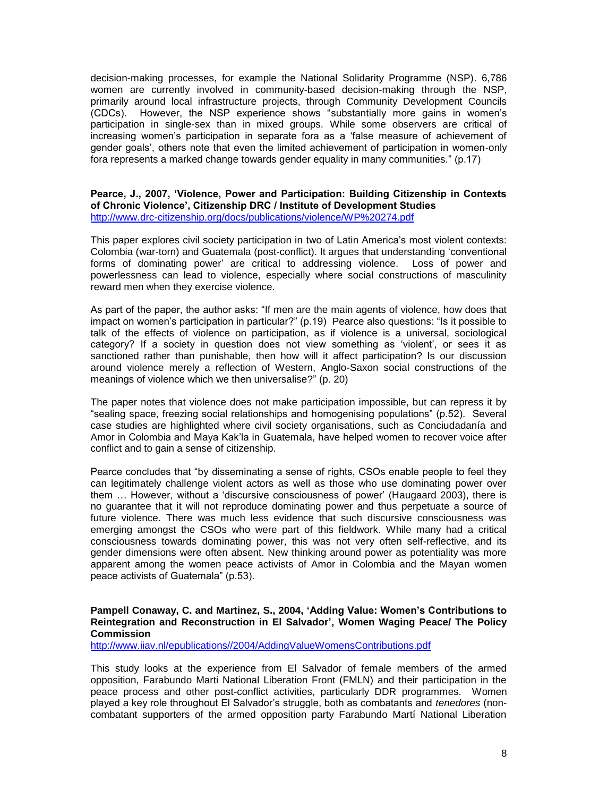decision-making processes, for example the National Solidarity Programme (NSP). 6,786 women are currently involved in community-based decision-making through the NSP, primarily around local infrastructure projects, through Community Development Councils (CDCs). However, the NSP experience shows "substantially more gains in women"s participation in single-sex than in mixed groups. While some observers are critical of increasing women"s participation in separate fora as a "false measure of achievement of gender goals", others note that even the limited achievement of participation in women-only fora represents a marked change towards gender equality in many communities." (p.17)

### **Pearce, J., 2007, 'Violence, Power and Participation: Building Citizenship in Contexts of Chronic Violence', Citizenship DRC / Institute of Development Studies** <http://www.drc-citizenship.org/docs/publications/violence/WP%20274.pdf>

This paper explores civil society participation in two of Latin America"s most violent contexts: Colombia (war-torn) and Guatemala (post-conflict). It argues that understanding "conventional forms of dominating power" are critical to addressing violence. Loss of power and powerlessness can lead to violence, especially where social constructions of masculinity reward men when they exercise violence.

As part of the paper, the author asks: "If men are the main agents of violence, how does that impact on women"s participation in particular?" (p.19) Pearce also questions: "Is it possible to talk of the effects of violence on participation, as if violence is a universal, sociological category? If a society in question does not view something as "violent", or sees it as sanctioned rather than punishable, then how will it affect participation? Is our discussion around violence merely a reflection of Western, Anglo-Saxon social constructions of the meanings of violence which we then universalise?" (p. 20)

The paper notes that violence does not make participation impossible, but can repress it by "sealing space, freezing social relationships and homogenising populations" (p.52). Several case studies are highlighted where civil society organisations, such as Conciudadanía and Amor in Colombia and Maya Kak"la in Guatemala, have helped women to recover voice after conflict and to gain a sense of citizenship.

Pearce concludes that "by disseminating a sense of rights, CSOs enable people to feel they can legitimately challenge violent actors as well as those who use dominating power over them … However, without a "discursive consciousness of power" (Haugaard 2003), there is no guarantee that it will not reproduce dominating power and thus perpetuate a source of future violence. There was much less evidence that such discursive consciousness was emerging amongst the CSOs who were part of this fieldwork. While many had a critical consciousness towards dominating power, this was not very often self-reflective, and its gender dimensions were often absent. New thinking around power as potentiality was more apparent among the women peace activists of Amor in Colombia and the Mayan women peace activists of Guatemala" (p.53).

### **Pampell Conaway, C. and Martinez, S., 2004, 'Adding Value: Women's Contributions to Reintegration and Reconstruction in El Salvador', Women Waging Peace/ The Policy Commission**

[http://www.iiav.nl/epublications//2004/AddingValueWomensContributions.pdf](http://www.iiav.nl/epublications/2004/AddingValueWomensContributions.pdf)

This study looks at the experience from El Salvador of female members of the armed opposition, Farabundo Marti National Liberation Front (FMLN) and their participation in the peace process and other post-conflict activities, particularly DDR programmes. Women played a key role throughout El Salvador"s struggle, both as combatants and *tenedores* (noncombatant supporters of the armed opposition party Farabundo Martí National Liberation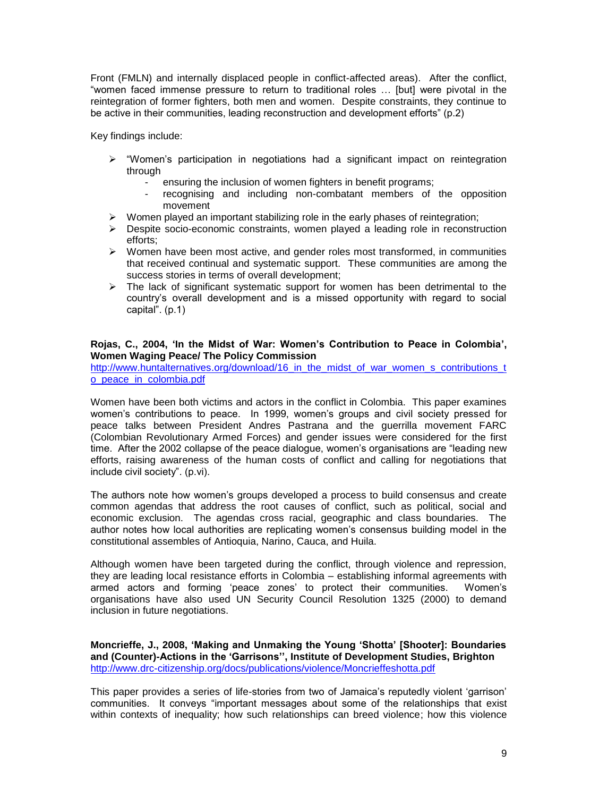Front (FMLN) and internally displaced people in conflict-affected areas). After the conflict, "women faced immense pressure to return to traditional roles … [but] were pivotal in the reintegration of former fighters, both men and women. Despite constraints, they continue to be active in their communities, leading reconstruction and development efforts" (p.2)

Key findings include:

- $\triangleright$  "Women's participation in negotiations had a significant impact on reintegration through
	- ensuring the inclusion of women fighters in benefit programs;
	- recognising and including non-combatant members of the opposition movement
- $\triangleright$  Women played an important stabilizing role in the early phases of reintegration;
- Despite socio-economic constraints, women played a leading role in reconstruction efforts;
- Women have been most active, and gender roles most transformed, in communities that received continual and systematic support. These communities are among the success stories in terms of overall development;
- $\triangleright$  The lack of significant systematic support for women has been detrimental to the country"s overall development and is a missed opportunity with regard to social capital". (p.1)

## **Rojas, C., 2004, 'In the Midst of War: Women's Contribution to Peace in Colombia', Women Waging Peace/ The Policy Commission**

[http://www.huntalternatives.org/download/16\\_in\\_the\\_midst\\_of\\_war\\_women\\_s\\_contributions\\_t](http://www.huntalternatives.org/download/16_in_the_midst_of_war_women_s_contributions_to_peace_in_colombia.pdf) [o\\_peace\\_in\\_colombia.pdf](http://www.huntalternatives.org/download/16_in_the_midst_of_war_women_s_contributions_to_peace_in_colombia.pdf)

Women have been both victims and actors in the conflict in Colombia. This paper examines women"s contributions to peace. In 1999, women"s groups and civil society pressed for peace talks between President Andres Pastrana and the guerrilla movement FARC (Colombian Revolutionary Armed Forces) and gender issues were considered for the first time. After the 2002 collapse of the peace dialogue, women"s organisations are "leading new efforts, raising awareness of the human costs of conflict and calling for negotiations that include civil society". (p.vi).

The authors note how women"s groups developed a process to build consensus and create common agendas that address the root causes of conflict, such as political, social and economic exclusion. The agendas cross racial, geographic and class boundaries. The author notes how local authorities are replicating women"s consensus building model in the constitutional assembles of Antioquia, Narino, Cauca, and Huila.

Although women have been targeted during the conflict, through violence and repression, they are leading local resistance efforts in Colombia – establishing informal agreements with armed actors and forming "peace zones" to protect their communities. Women"s organisations have also used UN Security Council Resolution 1325 (2000) to demand inclusion in future negotiations.

**Moncrieffe, J., 2008, 'Making and Unmaking the Young 'Shotta' [Shooter]: Boundaries and (Counter)-Actions in the 'Garrisons'', Institute of Development Studies, Brighton** <http://www.drc-citizenship.org/docs/publications/violence/Moncrieffeshotta.pdf>

This paper provides a series of life-stories from two of Jamaica's reputedly violent 'garrison' communities. It conveys "important messages about some of the relationships that exist within contexts of inequality; how such relationships can breed violence; how this violence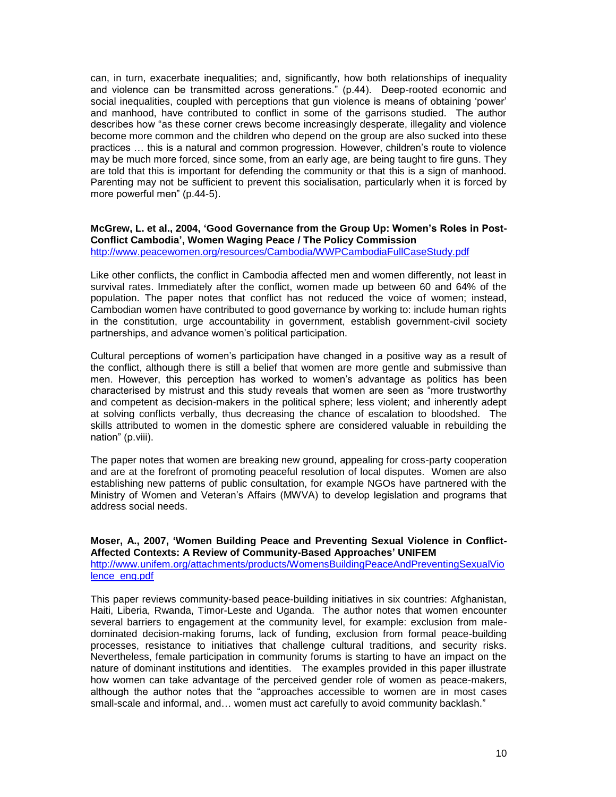can, in turn, exacerbate inequalities; and, significantly, how both relationships of inequality and violence can be transmitted across generations." (p.44). Deep-rooted economic and social inequalities, coupled with perceptions that gun violence is means of obtaining "power" and manhood, have contributed to conflict in some of the garrisons studied. The author describes how "as these corner crews become increasingly desperate, illegality and violence become more common and the children who depend on the group are also sucked into these practices … this is a natural and common progression. However, children"s route to violence may be much more forced, since some, from an early age, are being taught to fire guns. They are told that this is important for defending the community or that this is a sign of manhood. Parenting may not be sufficient to prevent this socialisation, particularly when it is forced by more powerful men" (p.44-5).

#### **McGrew, L. et al., 2004, 'Good Governance from the Group Up: Women's Roles in Post-Conflict Cambodia', Women Waging Peace / The Policy Commission** <http://www.peacewomen.org/resources/Cambodia/WWPCambodiaFullCaseStudy.pdf>

Like other conflicts, the conflict in Cambodia affected men and women differently, not least in survival rates. Immediately after the conflict, women made up between 60 and 64% of the population. The paper notes that conflict has not reduced the voice of women; instead, Cambodian women have contributed to good governance by working to: include human rights in the constitution, urge accountability in government, establish government-civil society partnerships, and advance women"s political participation.

Cultural perceptions of women"s participation have changed in a positive way as a result of the conflict, although there is still a belief that women are more gentle and submissive than men. However, this perception has worked to women"s advantage as politics has been characterised by mistrust and this study reveals that women are seen as "more trustworthy and competent as decision-makers in the political sphere; less violent; and inherently adept at solving conflicts verbally, thus decreasing the chance of escalation to bloodshed. The skills attributed to women in the domestic sphere are considered valuable in rebuilding the nation" (p.viii).

The paper notes that women are breaking new ground, appealing for cross-party cooperation and are at the forefront of promoting peaceful resolution of local disputes. Women are also establishing new patterns of public consultation, for example NGOs have partnered with the Ministry of Women and Veteran"s Affairs (MWVA) to develop legislation and programs that address social needs.

## **Moser, A., 2007, 'Women Building Peace and Preventing Sexual Violence in Conflict-Affected Contexts: A Review of Community-Based Approaches' UNIFEM**

[http://www.unifem.org/attachments/products/WomensBuildingPeaceAndPreventingSexualVio](http://www.unifem.org/attachments/products/WomensBuildingPeaceAndPreventingSexualViolence_eng.pdf) [lence\\_eng.pdf](http://www.unifem.org/attachments/products/WomensBuildingPeaceAndPreventingSexualViolence_eng.pdf)

This paper reviews community-based peace-building initiatives in six countries: Afghanistan, Haiti, Liberia, Rwanda, Timor-Leste and Uganda. The author notes that women encounter several barriers to engagement at the community level, for example: exclusion from maledominated decision-making forums, lack of funding, exclusion from formal peace-building processes, resistance to initiatives that challenge cultural traditions, and security risks. Nevertheless, female participation in community forums is starting to have an impact on the nature of dominant institutions and identities. The examples provided in this paper illustrate how women can take advantage of the perceived gender role of women as peace-makers, although the author notes that the "approaches accessible to women are in most cases small-scale and informal, and… women must act carefully to avoid community backlash."